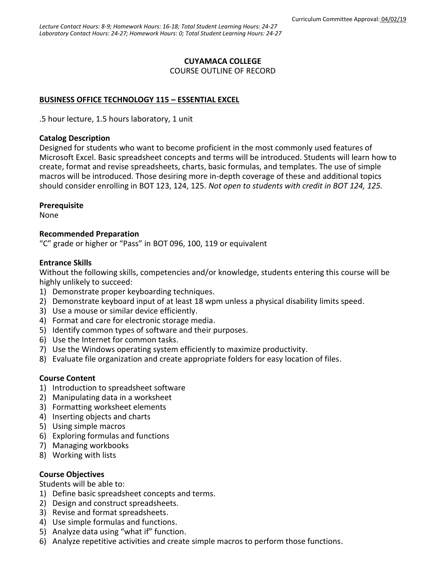# **CUYAMACA COLLEGE**

COURSE OUTLINE OF RECORD

# **BUSINESS OFFICE TECHNOLOGY 115 – ESSENTIAL EXCEL**

.5 hour lecture, 1.5 hours laboratory, 1 unit

#### **Catalog Description**

Designed for students who want to become proficient in the most commonly used features of Microsoft Excel. Basic spreadsheet concepts and terms will be introduced. Students will learn how to create, format and revise spreadsheets, charts, basic formulas, and templates. The use of simple macros will be introduced. Those desiring more in-depth coverage of these and additional topics should consider enrolling in BOT 123, 124, 125. *Not open to students with credit in BOT 124, 125.*

## **Prerequisite**

None

## **Recommended Preparation**

"C" grade or higher or "Pass" in BOT 096, 100, 119 or equivalent

## **Entrance Skills**

Without the following skills, competencies and/or knowledge, students entering this course will be highly unlikely to succeed:

- 1) Demonstrate proper keyboarding techniques.
- 2) Demonstrate keyboard input of at least 18 wpm unless a physical disability limits speed.
- 3) Use a mouse or similar device efficiently.
- 4) Format and care for electronic storage media.
- 5) Identify common types of software and their purposes.
- 6) Use the Internet for common tasks.
- 7) Use the Windows operating system efficiently to maximize productivity.
- 8) Evaluate file organization and create appropriate folders for easy location of files.

# **Course Content**

- 1) Introduction to spreadsheet software
- 2) Manipulating data in a worksheet
- 3) Formatting worksheet elements
- 4) Inserting objects and charts
- 5) Using simple macros
- 6) Exploring formulas and functions
- 7) Managing workbooks
- 8) Working with lists

## **Course Objectives**

Students will be able to:

- 1) Define basic spreadsheet concepts and terms.
- 2) Design and construct spreadsheets.
- 3) Revise and format spreadsheets.
- 4) Use simple formulas and functions.
- 5) Analyze data using "what if" function.
- 6) Analyze repetitive activities and create simple macros to perform those functions.